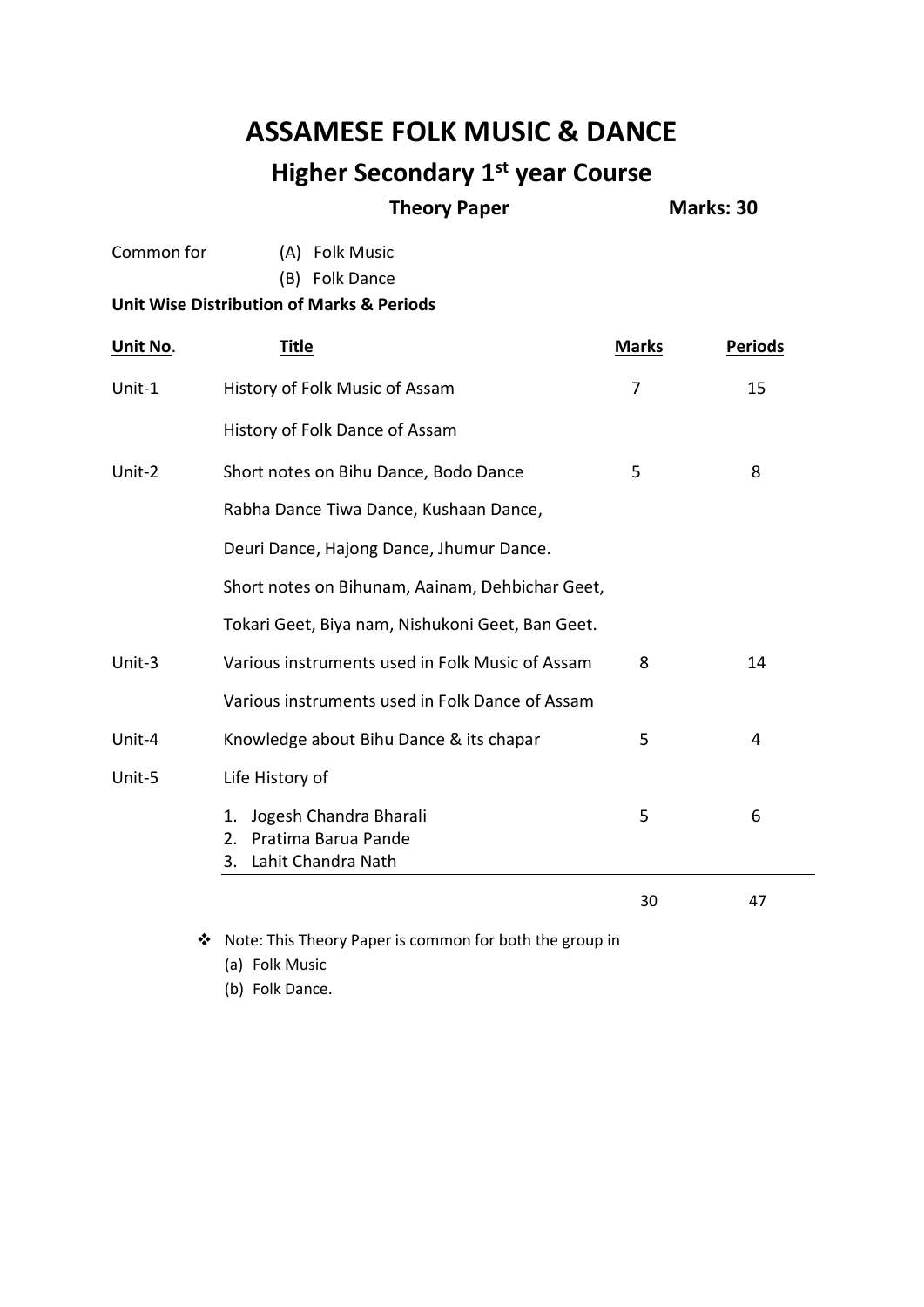# **ASSAMESE FOLK MUSIC & DANCE**

## **Higher Secondary 1st year Course**

#### **Theory Paper Marks: 30**

- Common for (A) Folk Music (B) Folk Dance **Unit Wise Distribution of Marks & Periods Unit No. Title Marks Periods** Unit-1 History of Folk Music of Assam 7 15 History of Folk Dance of Assam Unit-2 Short notes on Bihu Dance, Bodo Dance 5 5 8 Rabha Dance Tiwa Dance, Kushaan Dance, Deuri Dance, Hajong Dance, Jhumur Dance. Short notes on Bihunam, Aainam, Dehbichar Geet, Tokari Geet, Biya nam, Nishukoni Geet, Ban Geet. Unit-3 Various instruments used in Folk Music of Assam 8 14 Various instruments used in Folk Dance of Assam Unit-4 Knowledge about Bihu Dance & its chapar 5 5 4 Unit-5 Life History of 1. Jogesh Chandra Bharali 5 6 2. Pratima Barua Pande 3. Lahit Chandra Nath 30 47
	- Note: This Theory Paper is common for both the group in

(a) Folk Music

(b) Folk Dance.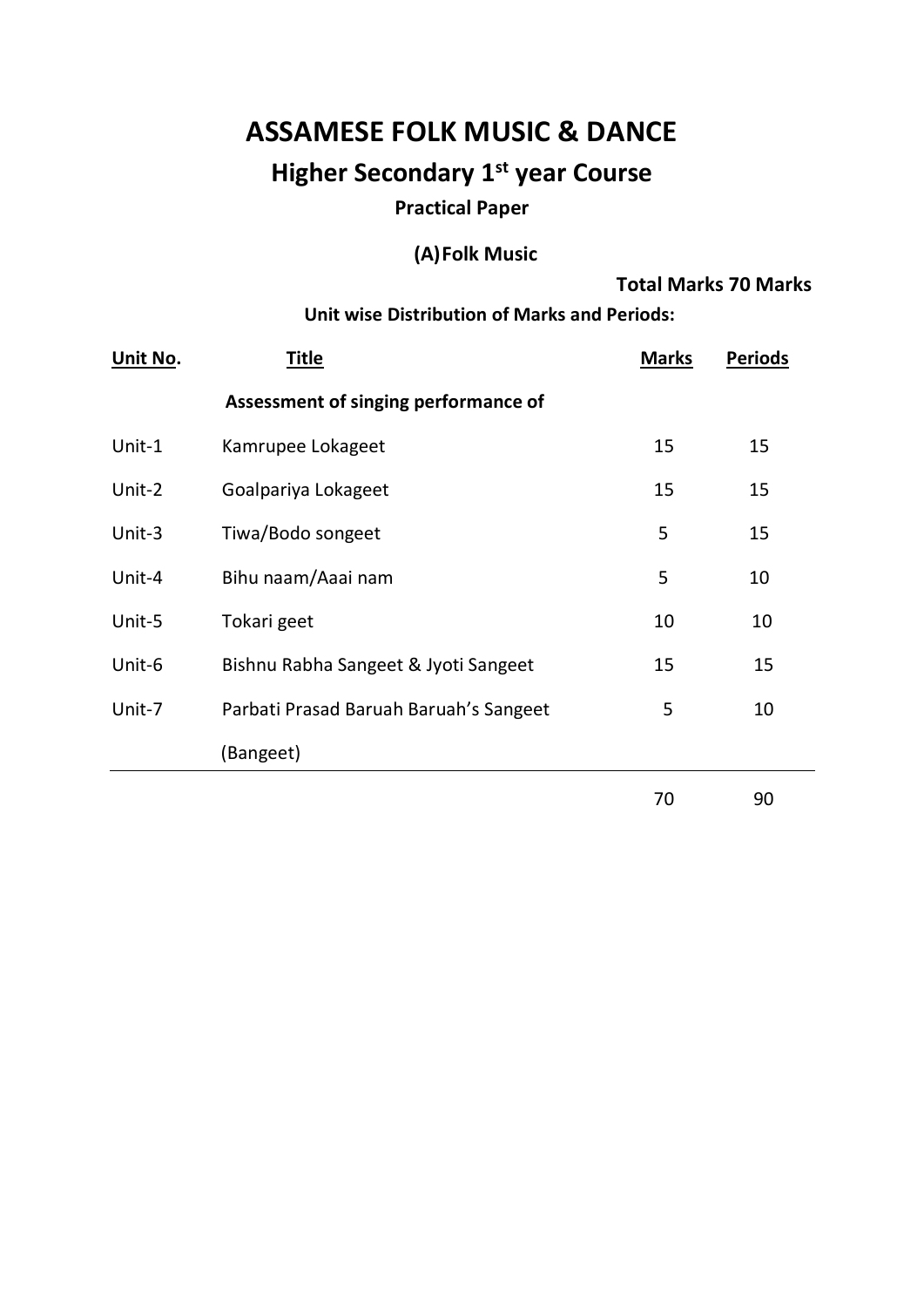# **ASSAMESE FOLK MUSIC & DANCE**

# **Higher Secondary 1st year Course**

## **Practical Paper**

## **(A)Folk Music**

#### **Total Marks 70 Marks**

**Unit wise Distribution of Marks and Periods:**

| Unit No. | <b>Title</b>                           | <b>Marks</b> | <b>Periods</b> |
|----------|----------------------------------------|--------------|----------------|
|          | Assessment of singing performance of   |              |                |
| Unit-1   | Kamrupee Lokageet                      | 15           | 15             |
| Unit-2   | Goalpariya Lokageet                    | 15           | 15             |
| Unit-3   | Tiwa/Bodo songeet                      | 5            | 15             |
| Unit-4   | Bihu naam/Aaai nam                     | 5            | 10             |
| Unit-5   | Tokari geet                            | 10           | 10             |
| Unit-6   | Bishnu Rabha Sangeet & Jyoti Sangeet   | 15           | 15             |
| Unit-7   | Parbati Prasad Baruah Baruah's Sangeet | 5            | 10             |
|          | (Bangeet)                              |              |                |
|          |                                        | 70           | 90             |